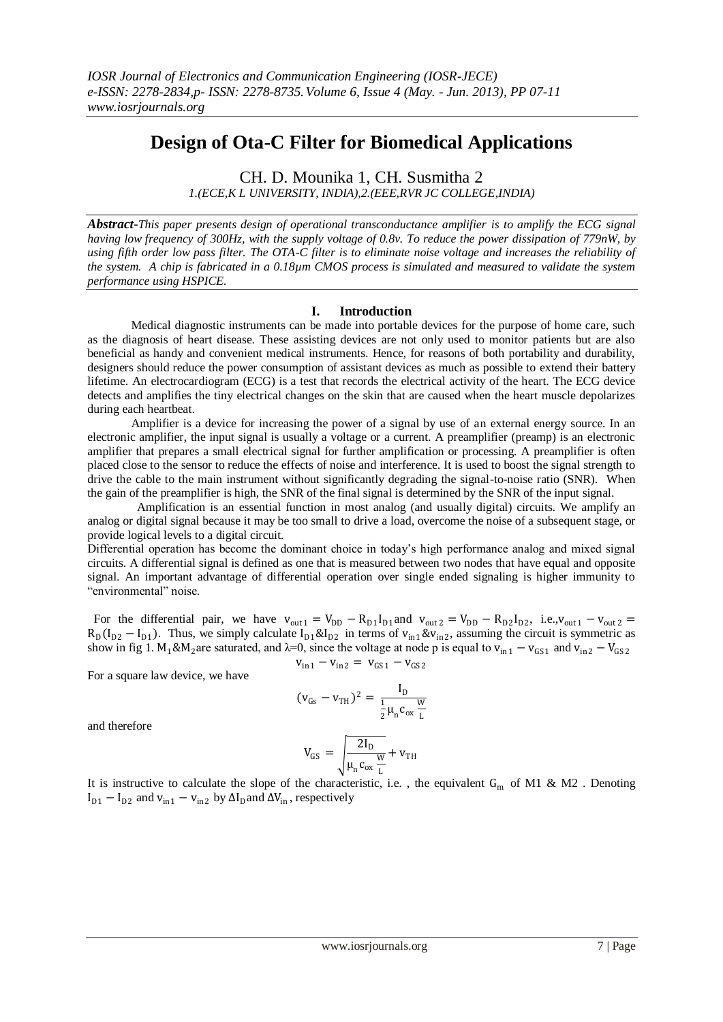## **Design of Ota-C Filter for Biomedical Applications**

CH. D. Mounika 1, CH. Susmitha 2 *1.(ECE,K L UNIVERSITY, INDIA),2.(EEE,RVR JC COLLEGE,INDIA)*

*Abstract-This paper presents design of operational transconductance amplifier is to amplify the ECG signal having low frequency of 300Hz, with the supply voltage of 0.8v. To reduce the power dissipation of 779nW, by using fifth order low pass filter. The OTA-C filter is to eliminate noise voltage and increases the reliability of the system. A chip is fabricated in a 0.18µm CMOS process is simulated and measured to validate the system performance using HSPICE.* 

## **I. Introduction**

Medical diagnostic instruments can be made into portable devices for the purpose of home care, such as the diagnosis of heart disease. These assisting devices are not only used to monitor patients but are also beneficial as handy and convenient medical instruments. Hence, for reasons of both portability and durability, designers should reduce the power consumption of assistant devices as much as possible to extend their battery lifetime. An electrocardiogram (ECG) is a test that records the electrical activity of the heart. The ECG device detects and amplifies the tiny electrical changes on the skin that are caused when the heart muscle depolarizes during each heartbeat.

Amplifier is a device for increasing the power of a signal by use of an external energy source. In an electronic amplifier, the input signal is usually a voltage or a current. A preamplifier (preamp) is an electronic amplifier that prepares a small electrical signal for further amplification or processing. A preamplifier is often placed close to the sensor to reduce the effects of noise and interference. It is used to boost the signal strength to drive the cable to the main instrument without significantly degrading the signal-to-noise ratio (SNR). When the gain of the preamplifier is high, the SNR of the final signal is determined by the SNR of the input signal.

 Amplification is an essential function in most analog (and usually digital) circuits. We amplify an analog or digital signal because it may be too small to drive a load, overcome the noise of a subsequent stage, or provide logical levels to a digital circuit.

Differential operation has become the dominant choice in today's high performance analog and mixed signal circuits. A differential signal is defined as one that is measured between two nodes that have equal and opposite signal. An important advantage of differential operation over single ended signaling is higher immunity to "environmental" noise.

For the differential pair, we have  $v_{\text{out }1} = V_{DD} - R_{D1}I_{D1}$  and  $v_{\text{out }2} = V_{DD} - R_{D2}I_{D2}$ , i.e., $v_{\text{out }1} - v_{\text{out }2} =$  $R_D(I_{D2} - I_{D1})$ . Thus, we simply calculate  $I_{D1} \& I_{D2}$  in terms of  $v_{in1} \& v_{in2}$ , assuming the circuit is symmetric as show in fig 1. M<sub>1</sub>&M<sub>2</sub>are saturated, and  $\lambda$ =0, since the voltage at node p is equal to v<sub>in1</sub> – v<sub>GS1</sub> and v<sub>in2</sub> – V<sub>GS2</sub>

 $v_{in1} - v_{in2} = v_{GS1} - v_{GS2}$ 

For a square law device, we have

$$
(v_{Gs}-v_{TH})^2=\frac{I_D}{\frac{1}{2}\mu_n c_{ox}\frac{W}{L}}
$$

and therefore

$$
V_{GS}\,=\,\sqrt{\frac{2I_D}{\mu_n\,c_{ox}\,\frac{W}{L}}+v_{TH}}
$$

It is instructive to calculate the slope of the characteristic, i.e., the equivalent  $G_m$  of M1 & M2. Denoting  $I_{D1} - I_{D2}$  and  $v_{in1} - v_{in2}$  by  $\Delta I_D$  and  $\Delta V_{in}$ , respectively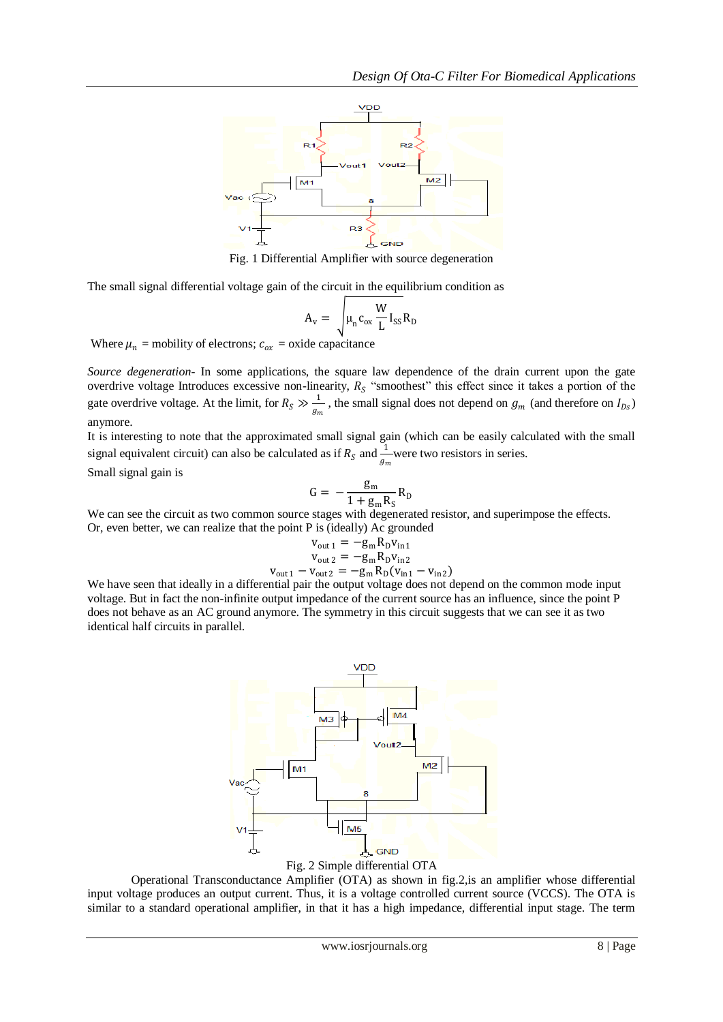

Fig. 1 Differential Amplifier with source degeneration

The small signal differential voltage gain of the circuit in the equilibrium condition as

$$
A_{v} = \sqrt{\mu_{n} c_{ox} \frac{W}{L} I_{SS} R_{D}}
$$

Where  $\mu_n$  = mobility of electrons;  $c_{ox}$  = oxide capacitance

*Source degeneration-* In some applications, the square law dependence of the drain current upon the gate overdrive voltage Introduces excessive non-linearity,  $R<sub>S</sub>$  "smoothest" this effect since it takes a portion of the gate overdrive voltage. At the limit, for  $R_s \gg \frac{1}{a}$  $\frac{1}{g_m}$ , the small signal does not depend on  $g_m$  (and therefore on  $I_{Ds}$ ) anymore.

It is interesting to note that the approximated small signal gain (which can be easily calculated with the small signal equivalent circuit) can also be calculated as if  $R_s$  and  $\frac{1}{g_m}$  were two resistors in series.

Small signal gain is

$$
G = -\frac{g_m}{1 + g_m R_S} R_D
$$

We can see the circuit as two common source stages with degenerated resistor, and superimpose the effects. Or, even better, we can realize that the point P is (ideally) Ac grounded

$$
v_{out1} = -g_m R_D v_{in1}
$$
  
\n
$$
v_{out2} = -g_m R_D v_{in2}
$$
  
\n
$$
v_{out1} - v_{out2} = -g_m R_D (v_{in1} - v_{in2})
$$

We have seen that ideally in a differential pair the output voltage does not depend on the common mode input voltage. But in fact the non-infinite output impedance of the current source has an influence, since the point P does not behave as an AC ground anymore. The symmetry in this circuit suggests that we can see it as two identical half circuits in parallel.



Fig. 2 Simple differential OTA

Operational Transconductance Amplifier (OTA) as shown in fig.2,is an amplifier whose differential input voltage produces an output current. Thus, it is a voltage controlled current source (VCCS). The OTA is similar to a standard operational amplifier, in that it has a high impedance, differential input stage. The term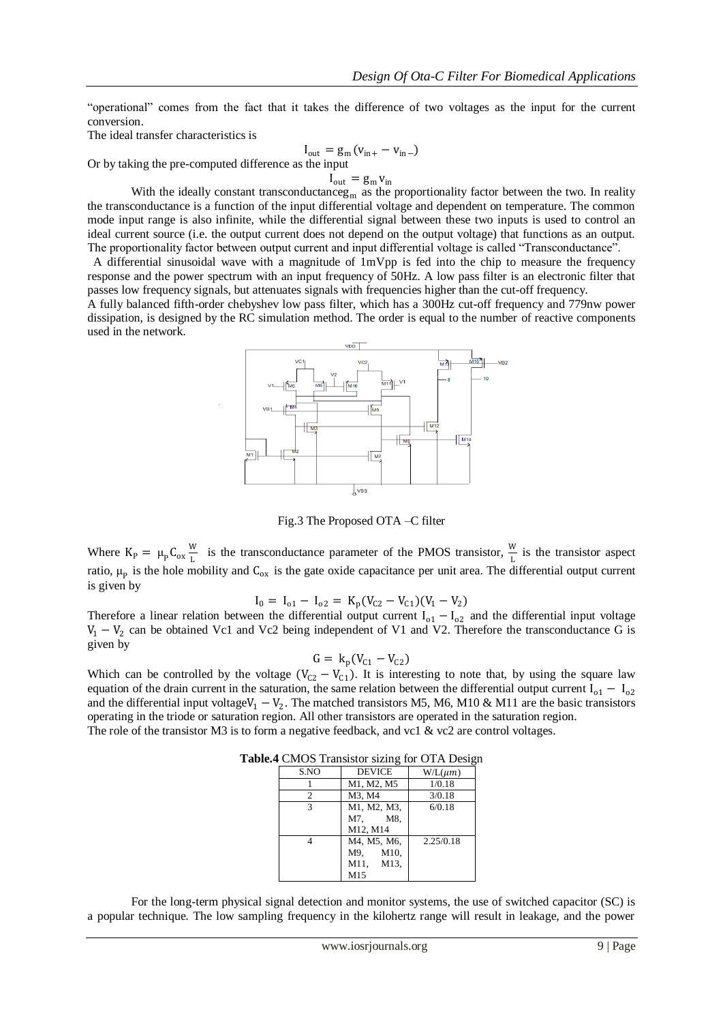"operational" comes from the fact that it takes the difference of two voltages as the input for the current conversion.

The ideal transfer characteristics is

Or by taking the pre-computed difference

$$
I_{out} = g_m (v_{in+} - v_{in-})
$$
  
as the input

 $I_{\text{out}} = g_{\text{m}} v_{\text{in}}$ 

With the ideally constant transconductanceg<sub>m</sub> as the proportionality factor between the two. In reality the transconductance is a function of the input differential voltage and dependent on temperature. The common mode input range is also infinite, while the differential signal between these two inputs is used to control an ideal current source (i.e. the output current does not depend on the output voltage) that functions as an output. The proportionality factor between output current and input differential voltage is called "Transconductance".

A differential sinusoidal wave with a magnitude of  $1mVpp$  is fed into the chip to measure the frequency response and the power spectrum with an input frequency of 50Hz. A low pass filter is an electronic filter that passes low frequency signals, but attenuates signals with frequencies higher than the cut-off frequency.

A fully balanced fifth-order chebyshev low pass filter, which has a 300Hz cut-off frequency and 779nw power dissipation, is designed by the RC simulation method. The order is equal to the number of reactive components used in the network.



Fig.3 The Proposed OTA –C filter

Where  $K_{P} = \mu_{P} C_{ox} \frac{W}{L}$  $\frac{W}{L}$  is the transconductance parameter of the PMOS transistor,  $\frac{W}{L}$  is the transistor aspect ratio,  $\mu_p$  is the hole mobility and  $C_{ox}$  is the gate oxide capacitance per unit area. The differential output current is given by

$$
I_0 = I_{o1} - I_{o2} = K_p(V_{C2} - V_{C1})(V_1 - V_2)
$$

Therefore a linear relation between the differential output current  $I_{01} - I_{02}$  and the differential input voltage  $V_1 - V_2$  can be obtained Vc1 and Vc2 being independent of V1 and V2. Therefore the transconductance G is given by

$$
G = k_p(V_{C1} - V_{C2})
$$

Which can be controlled by the voltage  $(V_{C2} - V_{C1})$ . It is interesting to note that, by using the square law equation of the drain current in the saturation, the same relation between the differential output current  $I_{o1} - I_{o2}$ and the differential input voltage $V_1 - V_2$ . The matched transistors M5, M6, M10 & M11 are the basic transistors operating in the triode or saturation region. All other transistors are operated in the saturation region. The role of the transistor M3 is to form a negative feedback, and vc1 & vc2 are control voltages.

|      | $\sqrt{2}$    |              |
|------|---------------|--------------|
| S.NO | <b>DEVICE</b> | $W/L(\mu m)$ |
|      | M1, M2, M5    | 1/0.18       |
| 2    | M3, M4        | 3/0.18       |
| 3    | M1, M2, M3,   | 6/0.18       |
|      | M7. M8.       |              |
|      | M12, M14      |              |
|      | M4, M5, M6,   | 2.25/0.18    |
|      | M9. M10.      |              |
|      | M11. M13.     |              |
|      | M15           |              |

**Table.4** CMOS Transistor sizing for OTA Design

For the long-term physical signal detection and monitor systems, the use of switched capacitor (SC) is a popular technique. The low sampling frequency in the kilohertz range will result in leakage, and the power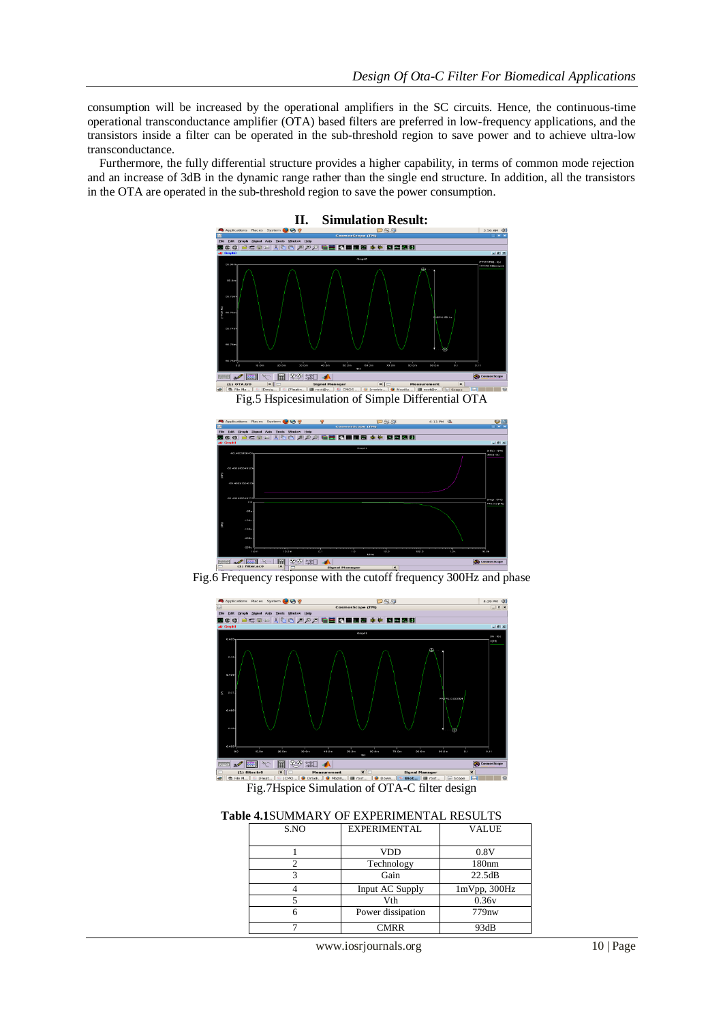consumption will be increased by the operational amplifiers in the SC circuits. Hence, the continuous-time operational transconductance amplifier (OTA) based filters are preferred in low-frequency applications, and the transistors inside a filter can be operated in the sub-threshold region to save power and to achieve ultra-low transconductance.

 Furthermore, the fully differential structure provides a higher capability, in terms of common mode rejection and an increase of 3dB in the dynamic range rather than the single end structure. In addition, all the transistors in the OTA are operated in the sub-threshold region to save the power consumption.





Fig.6 Frequency response with the cutoff frequency 300Hz and phase



Fig.7Hspice Simulation of OTA-C filter design

**Table 4.1**SUMMARY OF EXPERIMENTAL RESULTS

| S.NO | EXPERIMENTAL      | <b>VALUE</b>      |
|------|-------------------|-------------------|
|      |                   |                   |
|      | <b>VDD</b>        | 0.8V              |
|      | Technology        | 180nm             |
|      | Gain              | 22.5dB            |
|      | Input AC Supply   | 1mVpp, 300Hz      |
|      | Vth               | 0.36v             |
|      | Power dissipation | 779 <sub>nw</sub> |
|      | CMRR              | 93dB              |